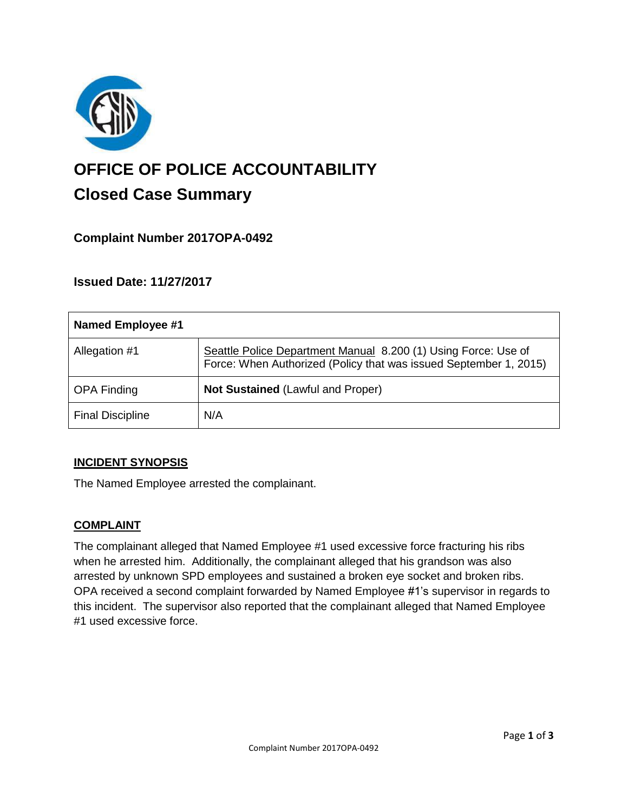

# **OFFICE OF POLICE ACCOUNTABILITY**

# **Closed Case Summary**

# **Complaint Number 2017OPA-0492**

# **Issued Date: 11/27/2017**

| <b>Named Employee #1</b> |                                                                                                                                     |
|--------------------------|-------------------------------------------------------------------------------------------------------------------------------------|
| Allegation #1            | Seattle Police Department Manual 8.200 (1) Using Force: Use of<br>Force: When Authorized (Policy that was issued September 1, 2015) |
| <b>OPA Finding</b>       | <b>Not Sustained (Lawful and Proper)</b>                                                                                            |
| <b>Final Discipline</b>  | N/A                                                                                                                                 |

## **INCIDENT SYNOPSIS**

The Named Employee arrested the complainant.

## **COMPLAINT**

The complainant alleged that Named Employee #1 used excessive force fracturing his ribs when he arrested him. Additionally, the complainant alleged that his grandson was also arrested by unknown SPD employees and sustained a broken eye socket and broken ribs. OPA received a second complaint forwarded by Named Employee #1's supervisor in regards to this incident. The supervisor also reported that the complainant alleged that Named Employee #1 used excessive force.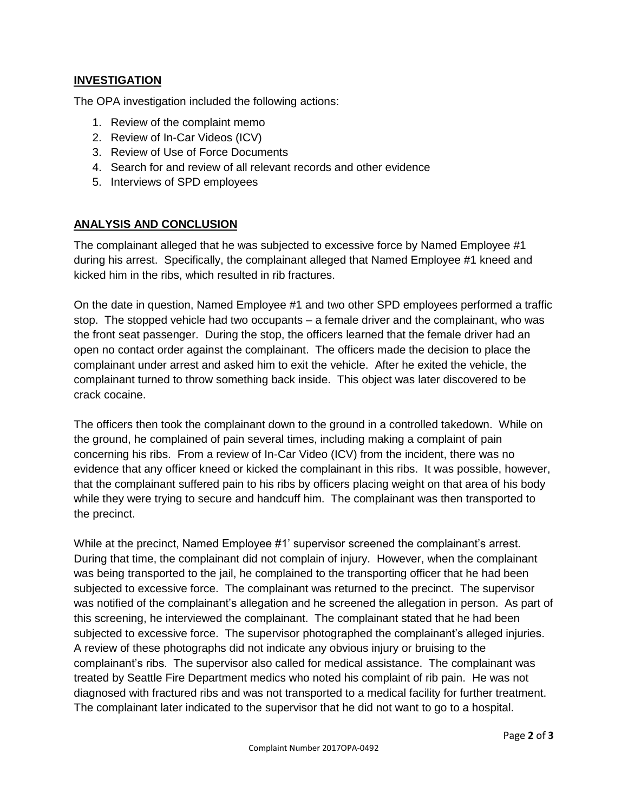#### **INVESTIGATION**

The OPA investigation included the following actions:

- 1. Review of the complaint memo
- 2. Review of In-Car Videos (ICV)
- 3. Review of Use of Force Documents
- 4. Search for and review of all relevant records and other evidence
- 5. Interviews of SPD employees

#### **ANALYSIS AND CONCLUSION**

The complainant alleged that he was subjected to excessive force by Named Employee #1 during his arrest. Specifically, the complainant alleged that Named Employee #1 kneed and kicked him in the ribs, which resulted in rib fractures.

On the date in question, Named Employee #1 and two other SPD employees performed a traffic stop. The stopped vehicle had two occupants – a female driver and the complainant, who was the front seat passenger. During the stop, the officers learned that the female driver had an open no contact order against the complainant. The officers made the decision to place the complainant under arrest and asked him to exit the vehicle. After he exited the vehicle, the complainant turned to throw something back inside. This object was later discovered to be crack cocaine.

The officers then took the complainant down to the ground in a controlled takedown. While on the ground, he complained of pain several times, including making a complaint of pain concerning his ribs. From a review of In-Car Video (ICV) from the incident, there was no evidence that any officer kneed or kicked the complainant in this ribs. It was possible, however, that the complainant suffered pain to his ribs by officers placing weight on that area of his body while they were trying to secure and handcuff him. The complainant was then transported to the precinct.

While at the precinct, Named Employee #1' supervisor screened the complainant's arrest. During that time, the complainant did not complain of injury. However, when the complainant was being transported to the jail, he complained to the transporting officer that he had been subjected to excessive force. The complainant was returned to the precinct. The supervisor was notified of the complainant's allegation and he screened the allegation in person. As part of this screening, he interviewed the complainant. The complainant stated that he had been subjected to excessive force. The supervisor photographed the complainant's alleged injuries. A review of these photographs did not indicate any obvious injury or bruising to the complainant's ribs. The supervisor also called for medical assistance. The complainant was treated by Seattle Fire Department medics who noted his complaint of rib pain. He was not diagnosed with fractured ribs and was not transported to a medical facility for further treatment. The complainant later indicated to the supervisor that he did not want to go to a hospital.